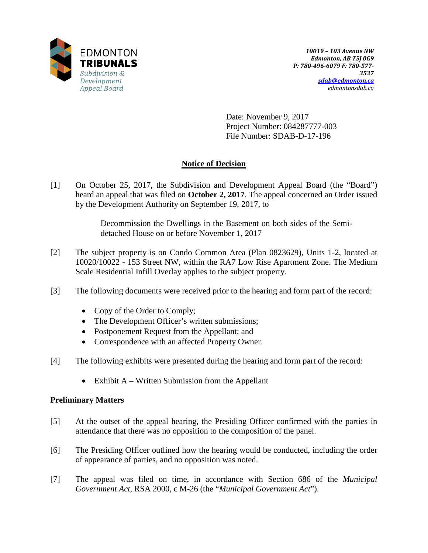

Date: November 9, 2017 Project Number: 084287777-003 File Number: SDAB-D-17-196

# **Notice of Decision**

[1] On October 25, 2017, the Subdivision and Development Appeal Board (the "Board") heard an appeal that was filed on **October 2, 2017**. The appeal concerned an Order issued by the Development Authority on September 19, 2017, to

> Decommission the Dwellings in the Basement on both sides of the Semidetached House on or before November 1, 2017

- [2] The subject property is on Condo Common Area (Plan 0823629), Units 1-2, located at 10020/10022 - 153 Street NW, within the RA7 Low Rise Apartment Zone. The Medium Scale Residential Infill Overlay applies to the subject property.
- [3] The following documents were received prior to the hearing and form part of the record:
	- Copy of the Order to Comply;
	- The Development Officer's written submissions;
	- Postponement Request from the Appellant; and
	- Correspondence with an affected Property Owner.
- [4] The following exhibits were presented during the hearing and form part of the record:
	- Exhibit  $A W$ ritten Submission from the Appellant

## **Preliminary Matters**

- [5] At the outset of the appeal hearing, the Presiding Officer confirmed with the parties in attendance that there was no opposition to the composition of the panel.
- [6] The Presiding Officer outlined how the hearing would be conducted, including the order of appearance of parties, and no opposition was noted.
- [7] The appeal was filed on time, in accordance with Section 686 of the *Municipal Government Act*, RSA 2000, c M-26 (the "*Municipal Government Act*").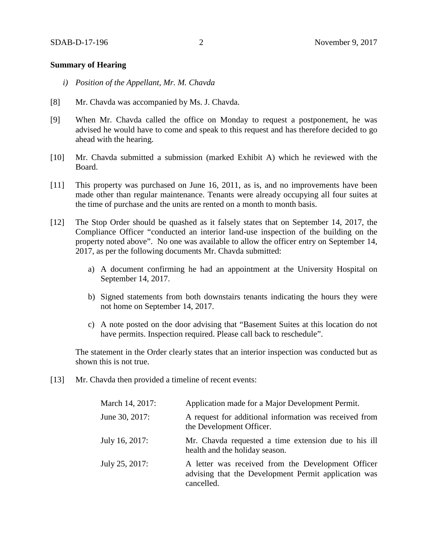### **Summary of Hearing**

- *i) Position of the Appellant, Mr. M. Chavda*
- [8] Mr. Chavda was accompanied by Ms. J. Chavda.
- [9] When Mr. Chavda called the office on Monday to request a postponement, he was advised he would have to come and speak to this request and has therefore decided to go ahead with the hearing.
- [10] Mr. Chavda submitted a submission (marked Exhibit A) which he reviewed with the Board.
- [11] This property was purchased on June 16, 2011, as is, and no improvements have been made other than regular maintenance. Tenants were already occupying all four suites at the time of purchase and the units are rented on a month to month basis.
- [12] The Stop Order should be quashed as it falsely states that on September 14, 2017, the Compliance Officer "conducted an interior land-use inspection of the building on the property noted above". No one was available to allow the officer entry on September 14, 2017, as per the following documents Mr. Chavda submitted:
	- a) A document confirming he had an appointment at the University Hospital on September 14, 2017.
	- b) Signed statements from both downstairs tenants indicating the hours they were not home on September 14, 2017.
	- c) A note posted on the door advising that "Basement Suites at this location do not have permits. Inspection required. Please call back to reschedule".

The statement in the Order clearly states that an interior inspection was conducted but as shown this is not true.

[13] Mr. Chavda then provided a timeline of recent events:

| March 14, 2017: | Application made for a Major Development Permit.                                                                         |
|-----------------|--------------------------------------------------------------------------------------------------------------------------|
| June 30, 2017:  | A request for additional information was received from<br>the Development Officer.                                       |
| July 16, 2017:  | Mr. Chavda requested a time extension due to his ill<br>health and the holiday season.                                   |
| July 25, 2017:  | A letter was received from the Development Officer<br>advising that the Development Permit application was<br>cancelled. |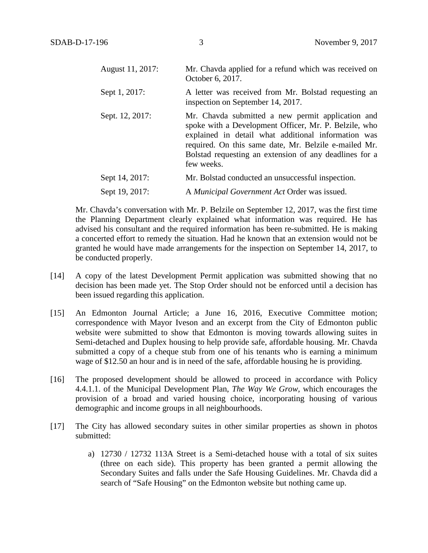| August 11, 2017: | Mr. Chavda applied for a refund which was received on<br>October 6, 2017.                                                                                                                                                                                                                          |
|------------------|----------------------------------------------------------------------------------------------------------------------------------------------------------------------------------------------------------------------------------------------------------------------------------------------------|
| Sept 1, 2017:    | A letter was received from Mr. Bolstad requesting an<br>inspection on September 14, 2017.                                                                                                                                                                                                          |
| Sept. 12, 2017:  | Mr. Chavda submitted a new permit application and<br>spoke with a Development Officer, Mr. P. Belzile, who<br>explained in detail what additional information was<br>required. On this same date, Mr. Belzile e-mailed Mr.<br>Bolstad requesting an extension of any deadlines for a<br>few weeks. |
| Sept 14, 2017:   | Mr. Bolstad conducted an unsuccessful inspection.                                                                                                                                                                                                                                                  |
| Sept 19, 2017:   | A Municipal Government Act Order was issued.                                                                                                                                                                                                                                                       |

Mr. Chavda's conversation with Mr. P. Belzile on September 12, 2017, was the first time the Planning Department clearly explained what information was required. He has advised his consultant and the required information has been re-submitted. He is making a concerted effort to remedy the situation. Had he known that an extension would not be granted he would have made arrangements for the inspection on September 14, 2017, to be conducted properly.

- [14] A copy of the latest Development Permit application was submitted showing that no decision has been made yet. The Stop Order should not be enforced until a decision has been issued regarding this application.
- [15] An Edmonton Journal Article; a June 16, 2016, Executive Committee motion; correspondence with Mayor Iveson and an excerpt from the City of Edmonton public website were submitted to show that Edmonton is moving towards allowing suites in Semi-detached and Duplex housing to help provide safe, affordable housing. Mr. Chavda submitted a copy of a cheque stub from one of his tenants who is earning a minimum wage of \$12.50 an hour and is in need of the safe, affordable housing he is providing.
- [16] The proposed development should be allowed to proceed in accordance with Policy 4.4.1.1. of the Municipal Development Plan, *The Way We Grow,* which encourages the provision of a broad and varied housing choice, incorporating housing of various demographic and income groups in all neighbourhoods.
- [17] The City has allowed secondary suites in other similar properties as shown in photos submitted:
	- a) 12730 / 12732 113A Street is a Semi-detached house with a total of six suites (three on each side). This property has been granted a permit allowing the Secondary Suites and falls under the Safe Housing Guidelines. Mr. Chavda did a search of "Safe Housing" on the Edmonton website but nothing came up.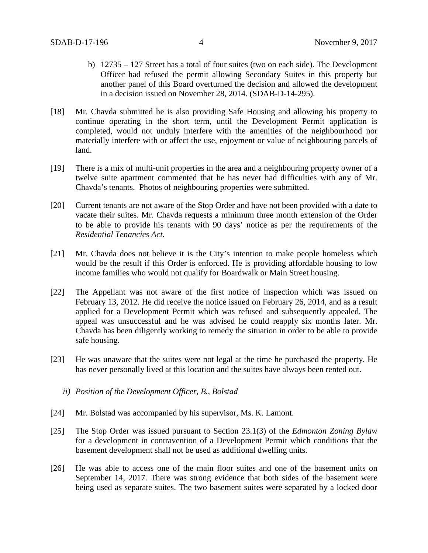- b) 12735 127 Street has a total of four suites (two on each side). The Development Officer had refused the permit allowing Secondary Suites in this property but another panel of this Board overturned the decision and allowed the development in a decision issued on November 28, 2014. (SDAB-D-14-295).
- [18] Mr. Chavda submitted he is also providing Safe Housing and allowing his property to continue operating in the short term, until the Development Permit application is completed, would not unduly interfere with the amenities of the neighbourhood nor materially interfere with or affect the use, enjoyment or value of neighbouring parcels of land.
- [19] There is a mix of multi-unit properties in the area and a neighbouring property owner of a twelve suite apartment commented that he has never had difficulties with any of Mr. Chavda's tenants. Photos of neighbouring properties were submitted.
- [20] Current tenants are not aware of the Stop Order and have not been provided with a date to vacate their suites. Mr. Chavda requests a minimum three month extension of the Order to be able to provide his tenants with 90 days' notice as per the requirements of the *Residential Tenancies Act*.
- [21] Mr. Chavda does not believe it is the City's intention to make people homeless which would be the result if this Order is enforced. He is providing affordable housing to low income families who would not qualify for Boardwalk or Main Street housing.
- [22] The Appellant was not aware of the first notice of inspection which was issued on February 13, 2012. He did receive the notice issued on February 26, 2014, and as a result applied for a Development Permit which was refused and subsequently appealed. The appeal was unsuccessful and he was advised he could reapply six months later. Mr. Chavda has been diligently working to remedy the situation in order to be able to provide safe housing.
- [23] He was unaware that the suites were not legal at the time he purchased the property. He has never personally lived at this location and the suites have always been rented out.
	- *ii) Position of the Development Officer, B., Bolstad*
- [24] Mr. Bolstad was accompanied by his supervisor, Ms. K. Lamont.
- [25] The Stop Order was issued pursuant to Section 23.1(3) of the *Edmonton Zoning Bylaw* for a development in contravention of a Development Permit which conditions that the basement development shall not be used as additional dwelling units.
- [26] He was able to access one of the main floor suites and one of the basement units on September 14, 2017. There was strong evidence that both sides of the basement were being used as separate suites. The two basement suites were separated by a locked door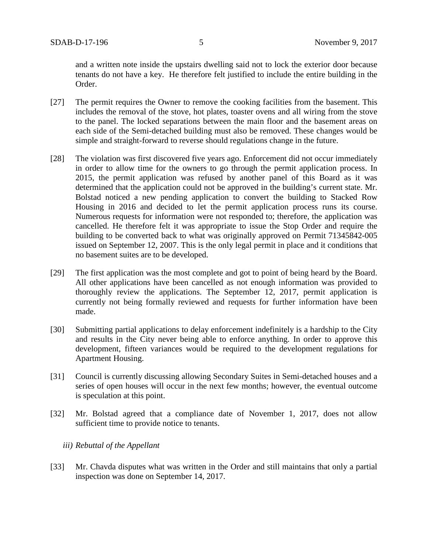and a written note inside the upstairs dwelling said not to lock the exterior door because tenants do not have a key. He therefore felt justified to include the entire building in the Order.

- [27] The permit requires the Owner to remove the cooking facilities from the basement. This includes the removal of the stove, hot plates, toaster ovens and all wiring from the stove to the panel. The locked separations between the main floor and the basement areas on each side of the Semi-detached building must also be removed. These changes would be simple and straight-forward to reverse should regulations change in the future.
- [28] The violation was first discovered five years ago. Enforcement did not occur immediately in order to allow time for the owners to go through the permit application process. In 2015, the permit application was refused by another panel of this Board as it was determined that the application could not be approved in the building's current state. Mr. Bolstad noticed a new pending application to convert the building to Stacked Row Housing in 2016 and decided to let the permit application process runs its course. Numerous requests for information were not responded to; therefore, the application was cancelled. He therefore felt it was appropriate to issue the Stop Order and require the building to be converted back to what was originally approved on Permit 71345842-005 issued on September 12, 2007. This is the only legal permit in place and it conditions that no basement suites are to be developed.
- [29] The first application was the most complete and got to point of being heard by the Board. All other applications have been cancelled as not enough information was provided to thoroughly review the applications. The September 12, 2017, permit application is currently not being formally reviewed and requests for further information have been made.
- [30] Submitting partial applications to delay enforcement indefinitely is a hardship to the City and results in the City never being able to enforce anything. In order to approve this development, fifteen variances would be required to the development regulations for Apartment Housing.
- [31] Council is currently discussing allowing Secondary Suites in Semi-detached houses and a series of open houses will occur in the next few months; however, the eventual outcome is speculation at this point.
- [32] Mr. Bolstad agreed that a compliance date of November 1, 2017, does not allow sufficient time to provide notice to tenants.

### *iii) Rebuttal of the Appellant*

[33] Mr. Chavda disputes what was written in the Order and still maintains that only a partial inspection was done on September 14, 2017.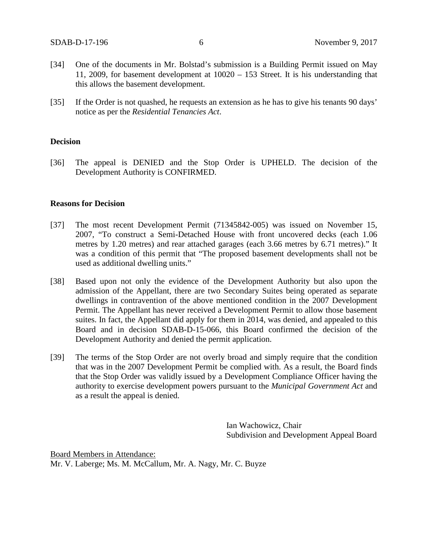- [34] One of the documents in Mr. Bolstad's submission is a Building Permit issued on May 11, 2009, for basement development at 10020 – 153 Street. It is his understanding that this allows the basement development.
- [35] If the Order is not quashed, he requests an extension as he has to give his tenants 90 days' notice as per the *Residential Tenancies Act*.

#### **Decision**

[36] The appeal is DENIED and the Stop Order is UPHELD. The decision of the Development Authority is CONFIRMED.

### **Reasons for Decision**

- [37] The most recent Development Permit (71345842-005) was issued on November 15, 2007, "To construct a Semi-Detached House with front uncovered decks (each 1.06 metres by 1.20 metres) and rear attached garages (each 3.66 metres by 6.71 metres)." It was a condition of this permit that "The proposed basement developments shall not be used as additional dwelling units."
- [38] Based upon not only the evidence of the Development Authority but also upon the admission of the Appellant, there are two Secondary Suites being operated as separate dwellings in contravention of the above mentioned condition in the 2007 Development Permit. The Appellant has never received a Development Permit to allow those basement suites. In fact, the Appellant did apply for them in 2014, was denied, and appealed to this Board and in decision SDAB-D-15-066, this Board confirmed the decision of the Development Authority and denied the permit application.
- [39] The terms of the Stop Order are not overly broad and simply require that the condition that was in the 2007 Development Permit be complied with. As a result, the Board finds that the Stop Order was validly issued by a Development Compliance Officer having the authority to exercise development powers pursuant to the *Municipal Government Act* and as a result the appeal is denied.

Ian Wachowicz, Chair Subdivision and Development Appeal Board

Board Members in Attendance: Mr. V. Laberge; Ms. M. McCallum, Mr. A. Nagy, Mr. C. Buyze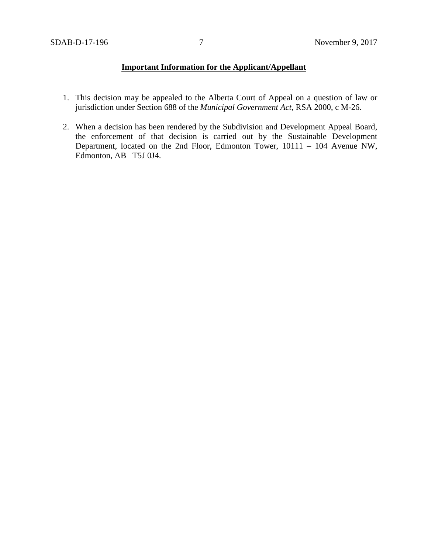## **Important Information for the Applicant/Appellant**

- 1. This decision may be appealed to the Alberta Court of Appeal on a question of law or jurisdiction under Section 688 of the *Municipal Government Act*, RSA 2000, c M-26.
- 2. When a decision has been rendered by the Subdivision and Development Appeal Board, the enforcement of that decision is carried out by the Sustainable Development Department, located on the 2nd Floor, Edmonton Tower, 10111 – 104 Avenue NW, Edmonton, AB T5J 0J4.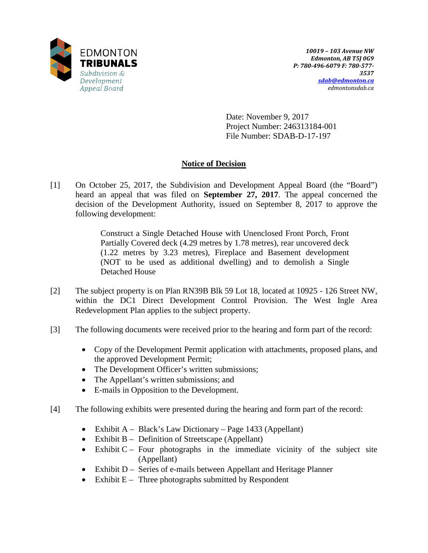

Date: November 9, 2017 Project Number: 246313184-001 File Number: SDAB-D-17-197

## **Notice of Decision**

[1] On October 25, 2017, the Subdivision and Development Appeal Board (the "Board") heard an appeal that was filed on **September 27, 2017**. The appeal concerned the decision of the Development Authority, issued on September 8, 2017 to approve the following development:

> Construct a Single Detached House with Unenclosed Front Porch, Front Partially Covered deck (4.29 metres by 1.78 metres), rear uncovered deck (1.22 metres by 3.23 metres), Fireplace and Basement development (NOT to be used as additional dwelling) and to demolish a Single Detached House

- [2] The subject property is on Plan RN39B Blk 59 Lot 18, located at 10925 126 Street NW, within the DC1 Direct Development Control Provision. The West Ingle Area Redevelopment Plan applies to the subject property.
- [3] The following documents were received prior to the hearing and form part of the record:
	- Copy of the Development Permit application with attachments, proposed plans, and the approved Development Permit;
	- The Development Officer's written submissions;
	- The Appellant's written submissions; and
	- E-mails in Opposition to the Development.
- [4] The following exhibits were presented during the hearing and form part of the record:
	- Exhibit A Black's Law Dictionary Page 1433 (Appellant)
	- Exhibit B Definition of Streetscape (Appellant)
	- Exhibit  $C -$  Four photographs in the immediate vicinity of the subject site (Appellant)
	- Exhibit D Series of e-mails between Appellant and Heritage Planner
	- Exhibit  $E -$  Three photographs submitted by Respondent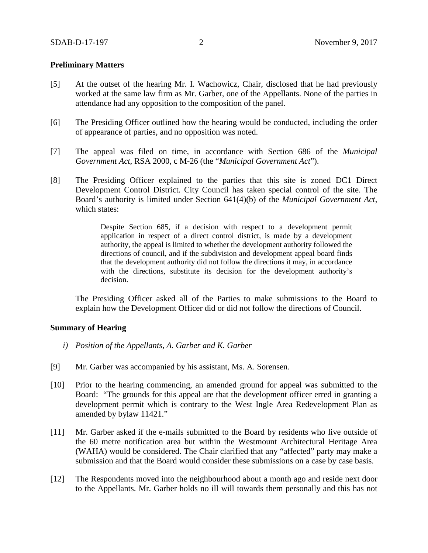### **Preliminary Matters**

- [5] At the outset of the hearing Mr. I. Wachowicz, Chair, disclosed that he had previously worked at the same law firm as Mr. Garber, one of the Appellants. None of the parties in attendance had any opposition to the composition of the panel.
- [6] The Presiding Officer outlined how the hearing would be conducted, including the order of appearance of parties, and no opposition was noted.
- [7] The appeal was filed on time, in accordance with Section 686 of the *Municipal Government Act*, RSA 2000, c M-26 (the "*Municipal Government Act*").
- [8] The Presiding Officer explained to the parties that this site is zoned DC1 Direct Development Control District. City Council has taken special control of the site. The Board's authority is limited under Section 641(4)(b) of the *Municipal Government Act*, which states:

Despite Section 685, if a decision with respect to a development permit application in respect of a direct control district, is made by a development authority, the appeal is limited to whether the development authority followed the directions of council, and if the subdivision and development appeal board finds that the development authority did not follow the directions it may, in accordance with the directions, substitute its decision for the development authority's decision.

The Presiding Officer asked all of the Parties to make submissions to the Board to explain how the Development Officer did or did not follow the directions of Council.

#### **Summary of Hearing**

- *i) Position of the Appellants, A. Garber and K. Garber*
- [9] Mr. Garber was accompanied by his assistant, Ms. A. Sorensen.
- [10] Prior to the hearing commencing, an amended ground for appeal was submitted to the Board: "The grounds for this appeal are that the development officer erred in granting a development permit which is contrary to the West Ingle Area Redevelopment Plan as amended by bylaw 11421."
- [11] Mr. Garber asked if the e-mails submitted to the Board by residents who live outside of the 60 metre notification area but within the Westmount Architectural Heritage Area (WAHA) would be considered. The Chair clarified that any "affected" party may make a submission and that the Board would consider these submissions on a case by case basis.
- [12] The Respondents moved into the neighbourhood about a month ago and reside next door to the Appellants. Mr. Garber holds no ill will towards them personally and this has not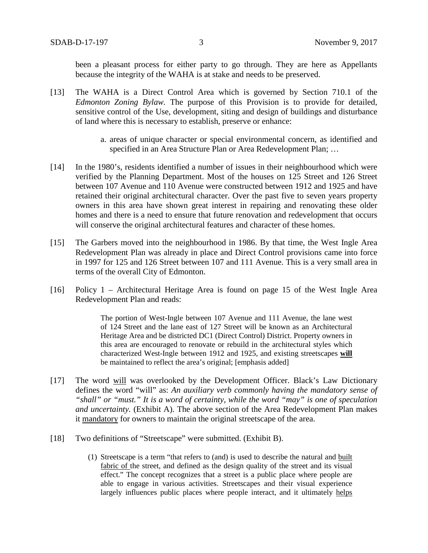been a pleasant process for either party to go through. They are here as Appellants because the integrity of the WAHA is at stake and needs to be preserved.

- [13] The WAHA is a Direct Control Area which is governed by Section 710.1 of the *Edmonton Zoning Bylaw.* The purpose of this Provision is to provide for detailed, sensitive control of the Use, development, siting and design of buildings and disturbance of land where this is necessary to establish, preserve or enhance:
	- a. areas of unique character or special environmental concern, as identified and specified in an Area Structure Plan or Area Redevelopment Plan; ...
- [14] In the 1980's, residents identified a number of issues in their neighbourhood which were verified by the Planning Department. Most of the houses on 125 Street and 126 Street between 107 Avenue and 110 Avenue were constructed between 1912 and 1925 and have retained their original architectural character. Over the past five to seven years property owners in this area have shown great interest in repairing and renovating these older homes and there is a need to ensure that future renovation and redevelopment that occurs will conserve the original architectural features and character of these homes.
- [15] The Garbers moved into the neighbourhood in 1986. By that time, the West Ingle Area Redevelopment Plan was already in place and Direct Control provisions came into force in 1997 for 125 and 126 Street between 107 and 111 Avenue. This is a very small area in terms of the overall City of Edmonton.
- [16] Policy 1 Architectural Heritage Area is found on page 15 of the West Ingle Area Redevelopment Plan and reads:

The portion of West-Ingle between 107 Avenue and 111 Avenue, the lane west of 124 Street and the lane east of 127 Street will be known as an Architectural Heritage Area and be districted DC1 (Direct Control) District. Property owners in this area are encouraged to renovate or rebuild in the architectural styles which characterized West-Ingle between 1912 and 1925, and existing streetscapes **will** be maintained to reflect the area's original; [emphasis added]

- [17] The word will was overlooked by the Development Officer. Black's Law Dictionary defines the word "will" as: *An auxiliary verb commonly having the mandatory sense of "shall" or "must." It is a word of certainty, while the word "may" is one of speculation and uncertainty.* (Exhibit A). The above section of the Area Redevelopment Plan makes it mandatory for owners to maintain the original streetscape of the area.
- [18] Two definitions of "Streetscape" were submitted. (Exhibit B).
	- (1) Streetscape is a term "that refers to (and) is used to describe the natural and built fabric of the street, and defined as the design quality of the street and its visual effect." The concept recognizes that a street is a public place where people are able to engage in various activities. Streetscapes and their visual experience largely influences public places where people interact, and it ultimately helps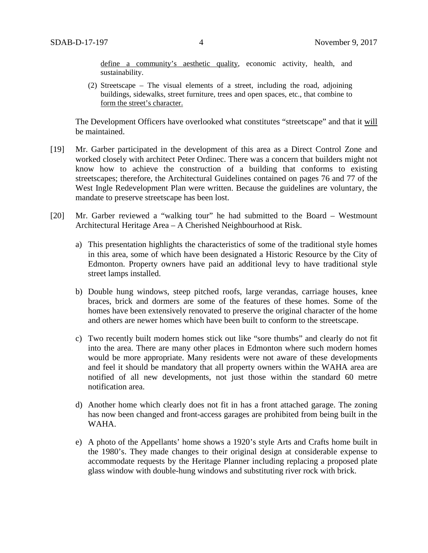define a community's aesthetic quality, economic activity, health, and sustainability.

(2) Streetscape – The visual elements of a street, including the road, adjoining buildings, sidewalks, street furniture, trees and open spaces, etc., that combine to form the street's character.

The Development Officers have overlooked what constitutes "streetscape" and that it will be maintained.

- [19] Mr. Garber participated in the development of this area as a Direct Control Zone and worked closely with architect Peter Ordinec. There was a concern that builders might not know how to achieve the construction of a building that conforms to existing streetscapes; therefore, the Architectural Guidelines contained on pages 76 and 77 of the West Ingle Redevelopment Plan were written. Because the guidelines are voluntary, the mandate to preserve streetscape has been lost.
- [20] Mr. Garber reviewed a "walking tour" he had submitted to the Board Westmount Architectural Heritage Area – A Cherished Neighbourhood at Risk.
	- a) This presentation highlights the characteristics of some of the traditional style homes in this area, some of which have been designated a Historic Resource by the City of Edmonton. Property owners have paid an additional levy to have traditional style street lamps installed.
	- b) Double hung windows, steep pitched roofs, large verandas, carriage houses, knee braces, brick and dormers are some of the features of these homes. Some of the homes have been extensively renovated to preserve the original character of the home and others are newer homes which have been built to conform to the streetscape.
	- c) Two recently built modern homes stick out like "sore thumbs" and clearly do not fit into the area. There are many other places in Edmonton where such modern homes would be more appropriate. Many residents were not aware of these developments and feel it should be mandatory that all property owners within the WAHA area are notified of all new developments, not just those within the standard 60 metre notification area.
	- d) Another home which clearly does not fit in has a front attached garage. The zoning has now been changed and front-access garages are prohibited from being built in the WAHA.
	- e) A photo of the Appellants' home shows a 1920's style Arts and Crafts home built in the 1980's. They made changes to their original design at considerable expense to accommodate requests by the Heritage Planner including replacing a proposed plate glass window with double-hung windows and substituting river rock with brick.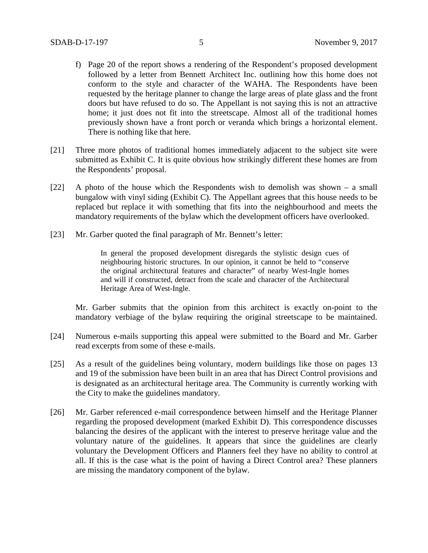- f) Page 20 of the report shows a rendering of the Respondent's proposed development followed by a letter from Bennett Architect Inc. outlining how this home does not conform to the style and character of the WAHA. The Respondents have been requested by the heritage planner to change the large areas of plate glass and the front doors but have refused to do so. The Appellant is not saying this is not an attractive home; it just does not fit into the streetscape. Almost all of the traditional homes previously shown have a front porch or veranda which brings a horizontal element. There is nothing like that here.
- [21] Three more photos of traditional homes immediately adjacent to the subject site were submitted as Exhibit C. It is quite obvious how strikingly different these homes are from the Respondents' proposal.
- [22] A photo of the house which the Respondents wish to demolish was shown a small bungalow with vinyl siding (Exhibit C). The Appellant agrees that this house needs to be replaced but replace it with something that fits into the neighbourhood and meets the mandatory requirements of the bylaw which the development officers have overlooked.
- [23] Mr. Garber quoted the final paragraph of Mr. Bennett's letter:

In general the proposed development disregards the stylistic design cues of neighbouring historic structures. In our opinion, it cannot be held to "conserve the original architectural features and character" of nearby West-Ingle homes and will if constructed, detract from the scale and character of the Architectural Heritage Area of West-Ingle.

Mr. Garber submits that the opinion from this architect is exactly on-point to the mandatory verbiage of the bylaw requiring the original streetscape to be maintained.

- [24] Numerous e-mails supporting this appeal were submitted to the Board and Mr. Garber read excerpts from some of these e-mails.
- [25] As a result of the guidelines being voluntary, modern buildings like those on pages 13 and 19 of the submission have been built in an area that has Direct Control provisions and is designated as an architectural heritage area. The Community is currently working with the City to make the guidelines mandatory.
- [26] Mr. Garber referenced e-mail correspondence between himself and the Heritage Planner regarding the proposed development (marked Exhibit D). This correspondence discusses balancing the desires of the applicant with the interest to preserve heritage value and the voluntary nature of the guidelines. It appears that since the guidelines are clearly voluntary the Development Officers and Planners feel they have no ability to control at all. If this is the case what is the point of having a Direct Control area? These planners are missing the mandatory component of the bylaw.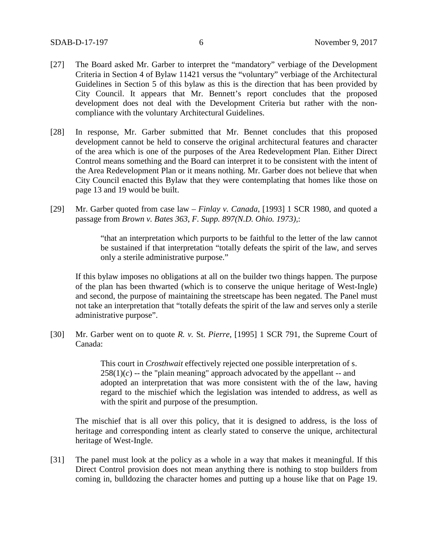- [27] The Board asked Mr. Garber to interpret the "mandatory" verbiage of the Development Criteria in Section 4 of Bylaw 11421 versus the "voluntary" verbiage of the Architectural Guidelines in Section 5 of this bylaw as this is the direction that has been provided by City Council. It appears that Mr. Bennett's report concludes that the proposed development does not deal with the Development Criteria but rather with the noncompliance with the voluntary Architectural Guidelines.
- [28] In response, Mr. Garber submitted that Mr. Bennet concludes that this proposed development cannot be held to conserve the original architectural features and character of the area which is one of the purposes of the Area Redevelopment Plan. Either Direct Control means something and the Board can interpret it to be consistent with the intent of the Area Redevelopment Plan or it means nothing. Mr. Garber does not believe that when City Council enacted this Bylaw that they were contemplating that homes like those on page 13 and 19 would be built.
- [29] Mr. Garber quoted from case law *Finlay v. Canada*, [1993] 1 SCR 1980, and quoted a passage from *Brown v. Bates 363*, *F. Supp. 897(N.D. Ohio. 1973),*:

"that an interpretation which purports to be faithful to the letter of the law cannot be sustained if that interpretation "totally defeats the spirit of the law, and serves only a sterile administrative purpose."

If this bylaw imposes no obligations at all on the builder two things happen. The purpose of the plan has been thwarted (which is to conserve the unique heritage of West-Ingle) and second, the purpose of maintaining the streetscape has been negated. The Panel must not take an interpretation that "totally defeats the spirit of the law and serves only a sterile administrative purpose".

[30] Mr. Garber went on to quote *R. v.* St. *Pierre*, [1995] 1 SCR 791, the Supreme Court of Canada:

> This court in *Crosthwait* effectively rejected one possible interpretation of s.  $258(1)(c)$  -- the "plain meaning" approach advocated by the appellant -- and adopted an interpretation that was more consistent with the of the law, having regard to the mischief which the legislation was intended to address, as well as with the spirit and purpose of the presumption.

The mischief that is all over this policy, that it is designed to address, is the loss of heritage and corresponding intent as clearly stated to conserve the unique, architectural heritage of West-Ingle.

[31] The panel must look at the policy as a whole in a way that makes it meaningful. If this Direct Control provision does not mean anything there is nothing to stop builders from coming in, bulldozing the character homes and putting up a house like that on Page 19.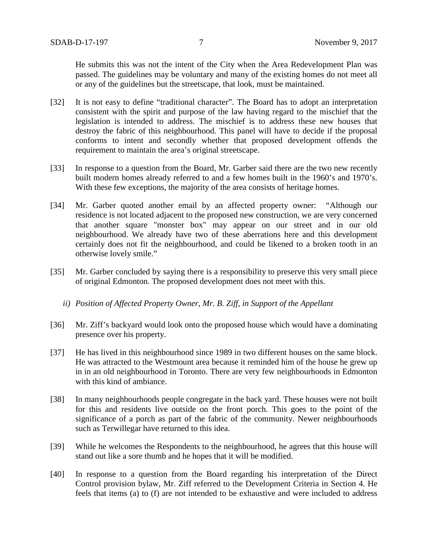He submits this was not the intent of the City when the Area Redevelopment Plan was passed. The guidelines may be voluntary and many of the existing homes do not meet all or any of the guidelines but the streetscape, that look, must be maintained.

- [32] It is not easy to define "traditional character". The Board has to adopt an interpretation consistent with the spirit and purpose of the law having regard to the mischief that the legislation is intended to address. The mischief is to address these new houses that destroy the fabric of this neighbourhood. This panel will have to decide if the proposal conforms to intent and secondly whether that proposed development offends the requirement to maintain the area's original streetscape.
- [33] In response to a question from the Board, Mr. Garber said there are the two new recently built modern homes already referred to and a few homes built in the 1960's and 1970's. With these few exceptions, the majority of the area consists of heritage homes.
- [34] Mr. Garber quoted another email by an affected property owner: "Although our residence is not located adjacent to the proposed new construction, we are very concerned that another square "monster box" may appear on our street and in our old neighbourhood. We already have two of these aberrations here and this development certainly does not fit the neighbourhood, and could be likened to a broken tooth in an otherwise lovely smile."
- [35] Mr. Garber concluded by saying there is a responsibility to preserve this very small piece of original Edmonton. The proposed development does not meet with this.
	- *ii) Position of Affected Property Owner, Mr. B. Ziff, in Support of the Appellant*
- [36] Mr. Ziff's backyard would look onto the proposed house which would have a dominating presence over his property.
- [37] He has lived in this neighbourhood since 1989 in two different houses on the same block. He was attracted to the Westmount area because it reminded him of the house he grew up in in an old neighbourhood in Toronto. There are very few neighbourhoods in Edmonton with this kind of ambiance.
- [38] In many neighbourhoods people congregate in the back yard. These houses were not built for this and residents live outside on the front porch. This goes to the point of the significance of a porch as part of the fabric of the community. Newer neighbourhoods such as Terwillegar have returned to this idea.
- [39] While he welcomes the Respondents to the neighbourhood, he agrees that this house will stand out like a sore thumb and he hopes that it will be modified.
- [40] In response to a question from the Board regarding his interpretation of the Direct Control provision bylaw, Mr. Ziff referred to the Development Criteria in Section 4. He feels that items (a) to (f) are not intended to be exhaustive and were included to address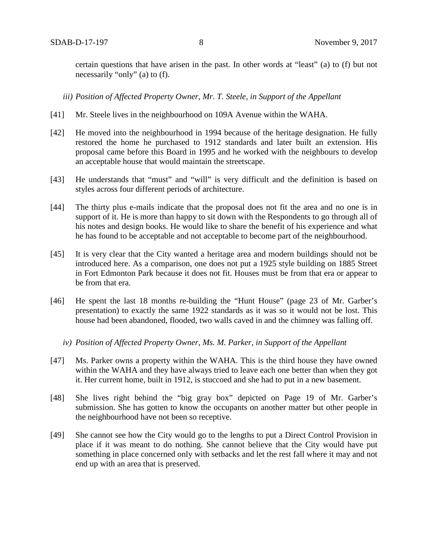certain questions that have arisen in the past. In other words at "least" (a) to (f) but not necessarily "only" (a) to (f).

*iii) Position of Affected Property Owner, Mr. T. Steele, in Support of the Appellant*

- [41] Mr. Steele lives in the neighbourhood on 109A Avenue within the WAHA.
- [42] He moved into the neighbourhood in 1994 because of the heritage designation. He fully restored the home he purchased to 1912 standards and later built an extension. His proposal came before this Board in 1995 and he worked with the neighbours to develop an acceptable house that would maintain the streetscape.
- [43] He understands that "must" and "will" is very difficult and the definition is based on styles across four different periods of architecture.
- [44] The thirty plus e-mails indicate that the proposal does not fit the area and no one is in support of it. He is more than happy to sit down with the Respondents to go through all of his notes and design books. He would like to share the benefit of his experience and what he has found to be acceptable and not acceptable to become part of the neighbourhood.
- [45] It is very clear that the City wanted a heritage area and modern buildings should not be introduced here. As a comparison, one does not put a 1925 style building on 1885 Street in Fort Edmonton Park because it does not fit. Houses must be from that era or appear to be from that era.
- [46] He spent the last 18 months re-building the "Hunt House" (page 23 of Mr. Garber's presentation) to exactly the same 1922 standards as it was so it would not be lost. This house had been abandoned, flooded, two walls caved in and the chimney was falling off.
	- *iv) Position of Affected Property Owner, Ms. M. Parker, in Support of the Appellant*
- [47] Ms. Parker owns a property within the WAHA. This is the third house they have owned within the WAHA and they have always tried to leave each one better than when they got it. Her current home, built in 1912, is stuccoed and she had to put in a new basement.
- [48] She lives right behind the "big gray box" depicted on Page 19 of Mr. Garber's submission. She has gotten to know the occupants on another matter but other people in the neighbourhood have not been so receptive.
- [49] She cannot see how the City would go to the lengths to put a Direct Control Provision in place if it was meant to do nothing. She cannot believe that the City would have put something in place concerned only with setbacks and let the rest fall where it may and not end up with an area that is preserved.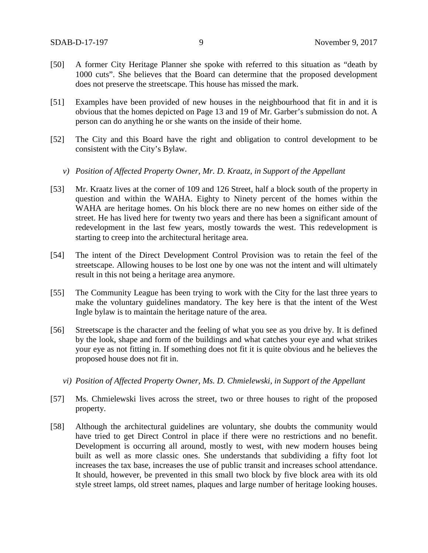- [50] A former City Heritage Planner she spoke with referred to this situation as "death by 1000 cuts". She believes that the Board can determine that the proposed development does not preserve the streetscape. This house has missed the mark.
- [51] Examples have been provided of new houses in the neighbourhood that fit in and it is obvious that the homes depicted on Page 13 and 19 of Mr. Garber's submission do not. A person can do anything he or she wants on the inside of their home.
- [52] The City and this Board have the right and obligation to control development to be consistent with the City's Bylaw.
	- *v) Position of Affected Property Owner, Mr. D. Kraatz, in Support of the Appellant*
- [53] Mr. Kraatz lives at the corner of 109 and 126 Street, half a block south of the property in question and within the WAHA. Eighty to Ninety percent of the homes within the WAHA are heritage homes. On his block there are no new homes on either side of the street. He has lived here for twenty two years and there has been a significant amount of redevelopment in the last few years, mostly towards the west. This redevelopment is starting to creep into the architectural heritage area.
- [54] The intent of the Direct Development Control Provision was to retain the feel of the streetscape. Allowing houses to be lost one by one was not the intent and will ultimately result in this not being a heritage area anymore.
- [55] The Community League has been trying to work with the City for the last three years to make the voluntary guidelines mandatory. The key here is that the intent of the West Ingle bylaw is to maintain the heritage nature of the area.
- [56] Streetscape is the character and the feeling of what you see as you drive by. It is defined by the look, shape and form of the buildings and what catches your eye and what strikes your eye as not fitting in. If something does not fit it is quite obvious and he believes the proposed house does not fit in.
	- *vi) Position of Affected Property Owner, Ms. D. Chmielewski, in Support of the Appellant*
- [57] Ms. Chmielewski lives across the street, two or three houses to right of the proposed property.
- [58] Although the architectural guidelines are voluntary, she doubts the community would have tried to get Direct Control in place if there were no restrictions and no benefit. Development is occurring all around, mostly to west, with new modern houses being built as well as more classic ones. She understands that subdividing a fifty foot lot increases the tax base, increases the use of public transit and increases school attendance. It should, however, be prevented in this small two block by five block area with its old style street lamps, old street names, plaques and large number of heritage looking houses.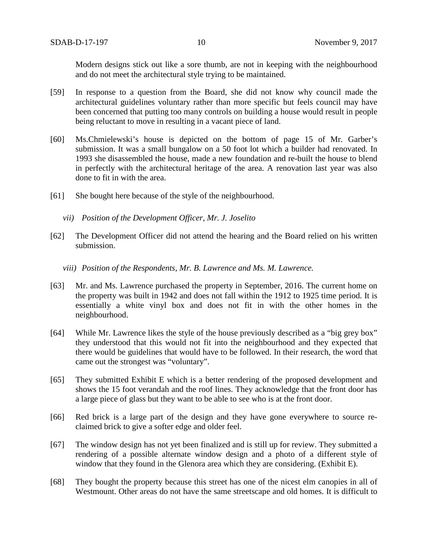Modern designs stick out like a sore thumb, are not in keeping with the neighbourhood and do not meet the architectural style trying to be maintained.

- [59] In response to a question from the Board, she did not know why council made the architectural guidelines voluntary rather than more specific but feels council may have been concerned that putting too many controls on building a house would result in people being reluctant to move in resulting in a vacant piece of land.
- [60] Ms.Chmielewski's house is depicted on the bottom of page 15 of Mr. Garber's submission. It was a small bungalow on a 50 foot lot which a builder had renovated. In 1993 she disassembled the house, made a new foundation and re-built the house to blend in perfectly with the architectural heritage of the area. A renovation last year was also done to fit in with the area.
- [61] She bought here because of the style of the neighbourhood.
	- *vii) Position of the Development Officer, Mr. J. Joselito*
- [62] The Development Officer did not attend the hearing and the Board relied on his written submission.
	- *viii) Position of the Respondents, Mr. B. Lawrence and Ms. M. Lawrence.*
- [63] Mr. and Ms. Lawrence purchased the property in September, 2016. The current home on the property was built in 1942 and does not fall within the 1912 to 1925 time period. It is essentially a white vinyl box and does not fit in with the other homes in the neighbourhood.
- [64] While Mr. Lawrence likes the style of the house previously described as a "big grey box" they understood that this would not fit into the neighbourhood and they expected that there would be guidelines that would have to be followed. In their research, the word that came out the strongest was "voluntary".
- [65] They submitted Exhibit E which is a better rendering of the proposed development and shows the 15 foot verandah and the roof lines. They acknowledge that the front door has a large piece of glass but they want to be able to see who is at the front door.
- [66] Red brick is a large part of the design and they have gone everywhere to source reclaimed brick to give a softer edge and older feel.
- [67] The window design has not yet been finalized and is still up for review. They submitted a rendering of a possible alternate window design and a photo of a different style of window that they found in the Glenora area which they are considering. (Exhibit E).
- [68] They bought the property because this street has one of the nicest elm canopies in all of Westmount. Other areas do not have the same streetscape and old homes. It is difficult to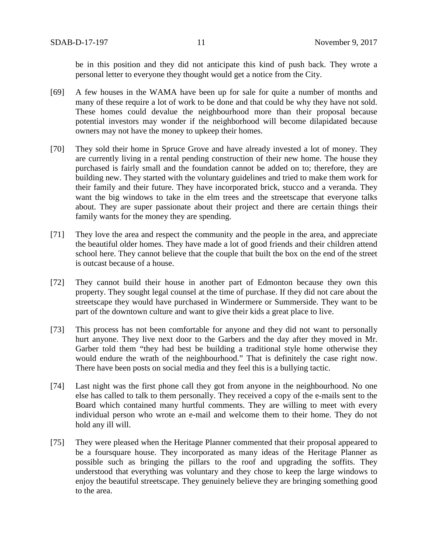be in this position and they did not anticipate this kind of push back. They wrote a personal letter to everyone they thought would get a notice from the City.

- [69] A few houses in the WAMA have been up for sale for quite a number of months and many of these require a lot of work to be done and that could be why they have not sold. These homes could devalue the neighbourhood more than their proposal because potential investors may wonder if the neighborhood will become dilapidated because owners may not have the money to upkeep their homes.
- [70] They sold their home in Spruce Grove and have already invested a lot of money. They are currently living in a rental pending construction of their new home. The house they purchased is fairly small and the foundation cannot be added on to; therefore, they are building new. They started with the voluntary guidelines and tried to make them work for their family and their future. They have incorporated brick, stucco and a veranda. They want the big windows to take in the elm trees and the streetscape that everyone talks about. They are super passionate about their project and there are certain things their family wants for the money they are spending.
- [71] They love the area and respect the community and the people in the area, and appreciate the beautiful older homes. They have made a lot of good friends and their children attend school here. They cannot believe that the couple that built the box on the end of the street is outcast because of a house.
- [72] They cannot build their house in another part of Edmonton because they own this property. They sought legal counsel at the time of purchase. If they did not care about the streetscape they would have purchased in Windermere or Summerside. They want to be part of the downtown culture and want to give their kids a great place to live.
- [73] This process has not been comfortable for anyone and they did not want to personally hurt anyone. They live next door to the Garbers and the day after they moved in Mr. Garber told them "they had best be building a traditional style home otherwise they would endure the wrath of the neighbourhood." That is definitely the case right now. There have been posts on social media and they feel this is a bullying tactic.
- [74] Last night was the first phone call they got from anyone in the neighbourhood. No one else has called to talk to them personally. They received a copy of the e-mails sent to the Board which contained many hurtful comments. They are willing to meet with every individual person who wrote an e-mail and welcome them to their home. They do not hold any ill will.
- [75] They were pleased when the Heritage Planner commented that their proposal appeared to be a foursquare house. They incorporated as many ideas of the Heritage Planner as possible such as bringing the pillars to the roof and upgrading the soffits. They understood that everything was voluntary and they chose to keep the large windows to enjoy the beautiful streetscape. They genuinely believe they are bringing something good to the area.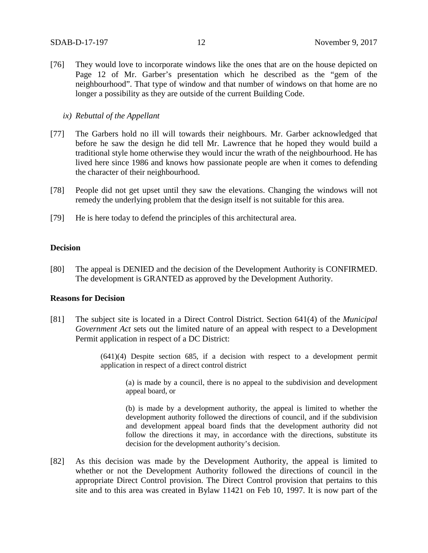[76] They would love to incorporate windows like the ones that are on the house depicted on Page 12 of Mr. Garber's presentation which he described as the "gem of the neighbourhood". That type of window and that number of windows on that home are no longer a possibility as they are outside of the current Building Code.

### *ix) Rebuttal of the Appellant*

- [77] The Garbers hold no ill will towards their neighbours. Mr. Garber acknowledged that before he saw the design he did tell Mr. Lawrence that he hoped they would build a traditional style home otherwise they would incur the wrath of the neighbourhood. He has lived here since 1986 and knows how passionate people are when it comes to defending the character of their neighbourhood.
- [78] People did not get upset until they saw the elevations. Changing the windows will not remedy the underlying problem that the design itself is not suitable for this area.
- [79] He is here today to defend the principles of this architectural area.

### **Decision**

[80] The appeal is DENIED and the decision of the Development Authority is CONFIRMED. The development is GRANTED as approved by the Development Authority.

### **Reasons for Decision**

[81] The subject site is located in a Direct Control District. Section 641(4) of the *Municipal Government Act* sets out the limited nature of an appeal with respect to a Development Permit application in respect of a DC District:

> (641)(4) Despite section 685, if a decision with respect to a development permit application in respect of a direct control district

(a) is made by a council, there is no appeal to the subdivision and development appeal board, or

(b) is made by a development authority, the appeal is limited to whether the development authority followed the directions of council, and if the subdivision and development appeal board finds that the development authority did not follow the directions it may, in accordance with the directions, substitute its decision for the development authority's decision.

[82] As this decision was made by the Development Authority, the appeal is limited to whether or not the Development Authority followed the directions of council in the appropriate Direct Control provision. The Direct Control provision that pertains to this site and to this area was created in Bylaw 11421 on Feb 10, 1997. It is now part of the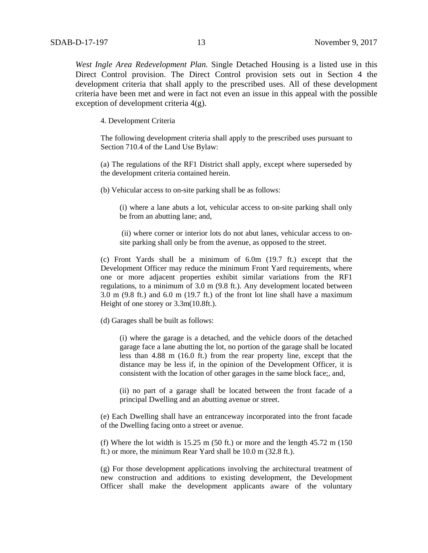*West Ingle Area Redevelopment Plan.* Single Detached Housing is a listed use in this Direct Control provision. The Direct Control provision sets out in Section 4 the development criteria that shall apply to the prescribed uses. All of these development criteria have been met and were in fact not even an issue in this appeal with the possible exception of development criteria 4(g).

4. Development Criteria

The following development criteria shall apply to the prescribed uses pursuant to Section 710.4 of the Land Use Bylaw:

(a) The regulations of the RF1 District shall apply, except where superseded by the development criteria contained herein.

(b) Vehicular access to on-site parking shall be as follows:

(i) where a lane abuts a lot, vehicular access to on-site parking shall only be from an abutting lane; and,

(ii) where corner or interior lots do not abut lanes, vehicular access to onsite parking shall only be from the avenue, as opposed to the street.

(c) Front Yards shall be a minimum of 6.0m (19.7 ft.) except that the Development Officer may reduce the minimum Front Yard requirements, where one or more adjacent properties exhibit similar variations from the RF1 regulations, to a minimum of 3.0 m (9.8 ft.). Any development located between 3.0 m (9.8 ft.) and 6.0 m (19.7 ft.) of the front lot line shall have a maximum Height of one storey or 3.3m(10.8ft.).

(d) Garages shall be built as follows:

(i) where the garage is a detached, and the vehicle doors of the detached garage face a lane abutting the lot, no portion of the garage shall be located less than 4.88 m (16.0 ft.) from the rear property line, except that the distance may be less if, in the opinion of the Development Officer, it is consistent with the location of other garages in the same block face;, and,

(ii) no part of a garage shall be located between the front facade of a principal Dwelling and an abutting avenue or street.

(e) Each Dwelling shall have an entranceway incorporated into the front facade of the Dwelling facing onto a street or avenue.

(f) Where the lot width is  $15.25$  m (50 ft.) or more and the length  $45.72$  m (150) ft.) or more, the minimum Rear Yard shall be 10.0 m (32.8 ft.).

(g) For those development applications involving the architectural treatment of new construction and additions to existing development, the Development Officer shall make the development applicants aware of the voluntary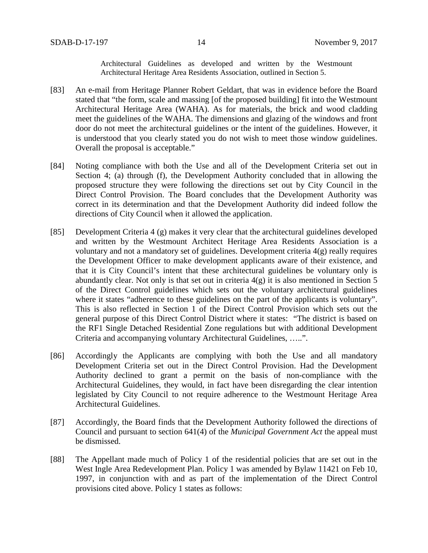Architectural Guidelines as developed and written by the Westmount Architectural Heritage Area Residents Association, outlined in Section 5.

- [83] An e-mail from Heritage Planner Robert Geldart, that was in evidence before the Board stated that "the form, scale and massing [of the proposed building] fit into the Westmount Architectural Heritage Area (WAHA). As for materials, the brick and wood cladding meet the guidelines of the WAHA. The dimensions and glazing of the windows and front door do not meet the architectural guidelines or the intent of the guidelines. However, it is understood that you clearly stated you do not wish to meet those window guidelines. Overall the proposal is acceptable."
- [84] Noting compliance with both the Use and all of the Development Criteria set out in Section 4; (a) through (f), the Development Authority concluded that in allowing the proposed structure they were following the directions set out by City Council in the Direct Control Provision. The Board concludes that the Development Authority was correct in its determination and that the Development Authority did indeed follow the directions of City Council when it allowed the application.
- [85] Development Criteria 4 (g) makes it very clear that the architectural guidelines developed and written by the Westmount Architect Heritage Area Residents Association is a voluntary and not a mandatory set of guidelines. Development criteria 4(g) really requires the Development Officer to make development applicants aware of their existence, and that it is City Council's intent that these architectural guidelines be voluntary only is abundantly clear. Not only is that set out in criteria 4(g) it is also mentioned in Section 5 of the Direct Control guidelines which sets out the voluntary architectural guidelines where it states "adherence to these guidelines on the part of the applicants is voluntary". This is also reflected in Section 1 of the Direct Control Provision which sets out the general purpose of this Direct Control District where it states: "The district is based on the RF1 Single Detached Residential Zone regulations but with additional Development Criteria and accompanying voluntary Architectural Guidelines, …..".
- [86] Accordingly the Applicants are complying with both the Use and all mandatory Development Criteria set out in the Direct Control Provision. Had the Development Authority declined to grant a permit on the basis of non-compliance with the Architectural Guidelines, they would, in fact have been disregarding the clear intention legislated by City Council to not require adherence to the Westmount Heritage Area Architectural Guidelines.
- [87] Accordingly, the Board finds that the Development Authority followed the directions of Council and pursuant to section 641(4) of the *Municipal Government Act* the appeal must be dismissed.
- [88] The Appellant made much of Policy 1 of the residential policies that are set out in the West Ingle Area Redevelopment Plan. Policy 1 was amended by Bylaw 11421 on Feb 10, 1997, in conjunction with and as part of the implementation of the Direct Control provisions cited above. Policy 1 states as follows: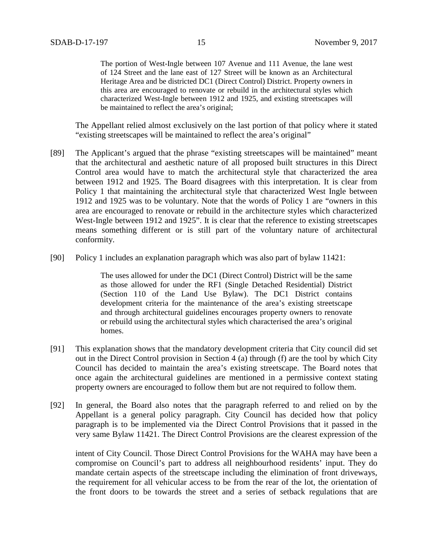The portion of West-Ingle between 107 Avenue and 111 Avenue, the lane west of 124 Street and the lane east of 127 Street will be known as an Architectural Heritage Area and be districted DC1 (Direct Control) District. Property owners in this area are encouraged to renovate or rebuild in the architectural styles which characterized West-Ingle between 1912 and 1925, and existing streetscapes will be maintained to reflect the area's original;

The Appellant relied almost exclusively on the last portion of that policy where it stated "existing streetscapes will be maintained to reflect the area's original"

- [89] The Applicant's argued that the phrase "existing streetscapes will be maintained" meant that the architectural and aesthetic nature of all proposed built structures in this Direct Control area would have to match the architectural style that characterized the area between 1912 and 1925. The Board disagrees with this interpretation. It is clear from Policy 1 that maintaining the architectural style that characterized West Ingle between 1912 and 1925 was to be voluntary. Note that the words of Policy 1 are "owners in this area are encouraged to renovate or rebuild in the architecture styles which characterized West-Ingle between 1912 and 1925". It is clear that the reference to existing streetscapes means something different or is still part of the voluntary nature of architectural conformity.
- [90] Policy 1 includes an explanation paragraph which was also part of bylaw 11421:

The uses allowed for under the DC1 (Direct Control) District will be the same as those allowed for under the RF1 (Single Detached Residential) District (Section 110 of the Land Use Bylaw). The DC1 District contains development criteria for the maintenance of the area's existing streetscape and through architectural guidelines encourages property owners to renovate or rebuild using the architectural styles which characterised the area's original homes.

- [91] This explanation shows that the mandatory development criteria that City council did set out in the Direct Control provision in Section 4 (a) through (f) are the tool by which City Council has decided to maintain the area's existing streetscape. The Board notes that once again the architectural guidelines are mentioned in a permissive context stating property owners are encouraged to follow them but are not required to follow them.
- [92] In general, the Board also notes that the paragraph referred to and relied on by the Appellant is a general policy paragraph. City Council has decided how that policy paragraph is to be implemented via the Direct Control Provisions that it passed in the very same Bylaw 11421. The Direct Control Provisions are the clearest expression of the

intent of City Council. Those Direct Control Provisions for the WAHA may have been a compromise on Council's part to address all neighbourhood residents' input. They do mandate certain aspects of the streetscape including the elimination of front driveways, the requirement for all vehicular access to be from the rear of the lot, the orientation of the front doors to be towards the street and a series of setback regulations that are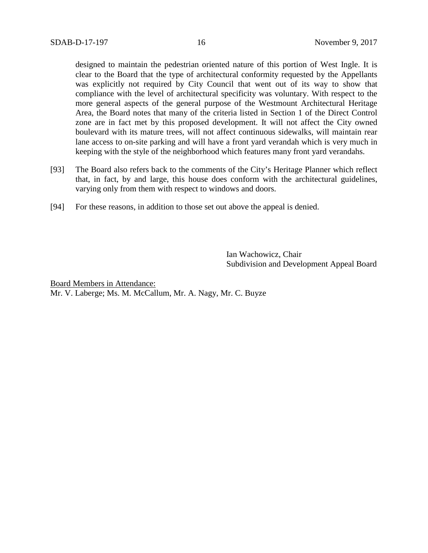designed to maintain the pedestrian oriented nature of this portion of West Ingle. It is clear to the Board that the type of architectural conformity requested by the Appellants was explicitly not required by City Council that went out of its way to show that compliance with the level of architectural specificity was voluntary. With respect to the more general aspects of the general purpose of the Westmount Architectural Heritage Area, the Board notes that many of the criteria listed in Section 1 of the Direct Control zone are in fact met by this proposed development. It will not affect the City owned boulevard with its mature trees, will not affect continuous sidewalks, will maintain rear lane access to on-site parking and will have a front yard verandah which is very much in keeping with the style of the neighborhood which features many front yard verandahs.

- [93] The Board also refers back to the comments of the City's Heritage Planner which reflect that, in fact, by and large, this house does conform with the architectural guidelines, varying only from them with respect to windows and doors.
- [94] For these reasons, in addition to those set out above the appeal is denied.

Ian Wachowicz, Chair Subdivision and Development Appeal Board

Board Members in Attendance: Mr. V. Laberge; Ms. M. McCallum, Mr. A. Nagy, Mr. C. Buyze